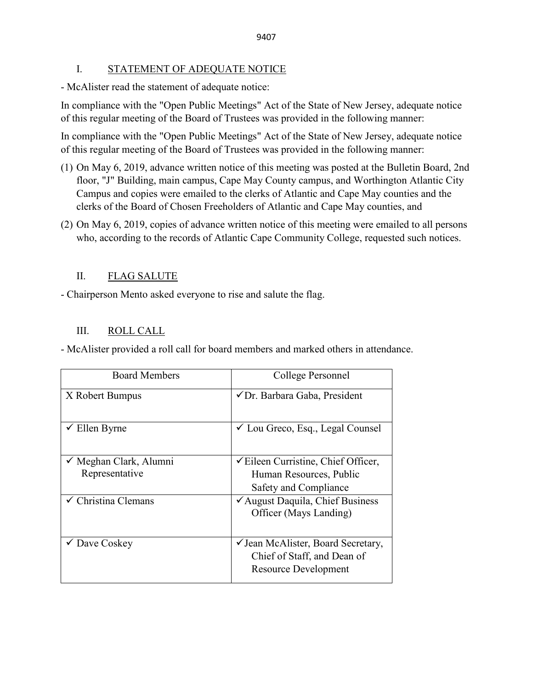### I. STATEMENT OF ADEQUATE NOTICE

- McAlister read the statement of adequate notice:

In compliance with the "Open Public Meetings" Act of the State of New Jersey, adequate notice of this regular meeting of the Board of Trustees was provided in the following manner:

In compliance with the "Open Public Meetings" Act of the State of New Jersey, adequate notice of this regular meeting of the Board of Trustees was provided in the following manner:

- (1) On May 6, 2019, advance written notice of this meeting was posted at the Bulletin Board, 2nd floor, "J" Building, main campus, Cape May County campus, and Worthington Atlantic City Campus and copies were emailed to the clerks of Atlantic and Cape May counties and the clerks of the Board of Chosen Freeholders of Atlantic and Cape May counties, and
- (2) On May 6, 2019, copies of advance written notice of this meeting were emailed to all persons who, according to the records of Atlantic Cape Community College, requested such notices.

## II. FLAG SALUTE

- Chairperson Mento asked everyone to rise and salute the flag.

## III. ROLL CALL

- McAlister provided a roll call for board members and marked others in attendance.

| <b>Board Members</b>              | College Personnel                                                     |  |
|-----------------------------------|-----------------------------------------------------------------------|--|
| X Robert Bumpus                   | √Dr. Barbara Gaba, President                                          |  |
| $\checkmark$ Ellen Byrne          | ✓ Lou Greco, Esq., Legal Counsel                                      |  |
| $\checkmark$ Meghan Clark, Alumni | $\checkmark$ Eileen Curristine, Chief Officer,                        |  |
| Representative                    | Human Resources, Public                                               |  |
|                                   | Safety and Compliance                                                 |  |
| $\checkmark$ Christina Clemans    | $\checkmark$ August Daquila, Chief Business<br>Officer (Mays Landing) |  |
| $\checkmark$ Dave Coskey          | ✓ Jean McAlister, Board Secretary,                                    |  |
|                                   | Chief of Staff, and Dean of                                           |  |
|                                   | <b>Resource Development</b>                                           |  |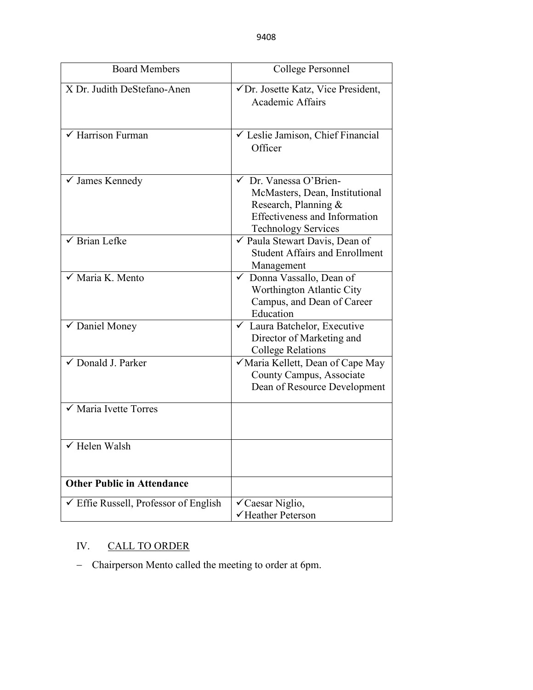| <b>Board Members</b>                             | College Personnel                                                                                                                                      |  |
|--------------------------------------------------|--------------------------------------------------------------------------------------------------------------------------------------------------------|--|
| X Dr. Judith DeStefano-Anen                      | √Dr. Josette Katz, Vice President,<br><b>Academic Affairs</b>                                                                                          |  |
| $\checkmark$ Harrison Furman                     | └ Leslie Jamison, Chief Financial<br>Officer                                                                                                           |  |
| ✓ James Kennedy                                  | ← Dr. Vanessa O'Brien-<br>McMasters, Dean, Institutional<br>Research, Planning &<br><b>Effectiveness and Information</b><br><b>Technology Services</b> |  |
| $\checkmark$ Brian Lefke                         | ✔ Paula Stewart Davis, Dean of<br><b>Student Affairs and Enrollment</b><br>Management                                                                  |  |
| √ Maria K. Mento                                 | Donna Vassallo, Dean of<br>$\checkmark$<br>Worthington Atlantic City<br>Campus, and Dean of Career<br>Education                                        |  |
| ✔ Daniel Money                                   | └ Laura Batchelor, Executive<br>Director of Marketing and<br><b>College Relations</b>                                                                  |  |
| ✓ Donald J. Parker                               | √ Maria Kellett, Dean of Cape May<br>County Campus, Associate<br>Dean of Resource Development                                                          |  |
| $\checkmark$ Maria Ivette Torres                 |                                                                                                                                                        |  |
| $\checkmark$ Helen Walsh                         |                                                                                                                                                        |  |
| <b>Other Public in Attendance</b>                |                                                                                                                                                        |  |
| $\checkmark$ Effie Russell, Professor of English | √Caesar Niglio,<br>√Heather Peterson                                                                                                                   |  |

# IV. CALL TO ORDER

− Chairperson Mento called the meeting to order at 6pm.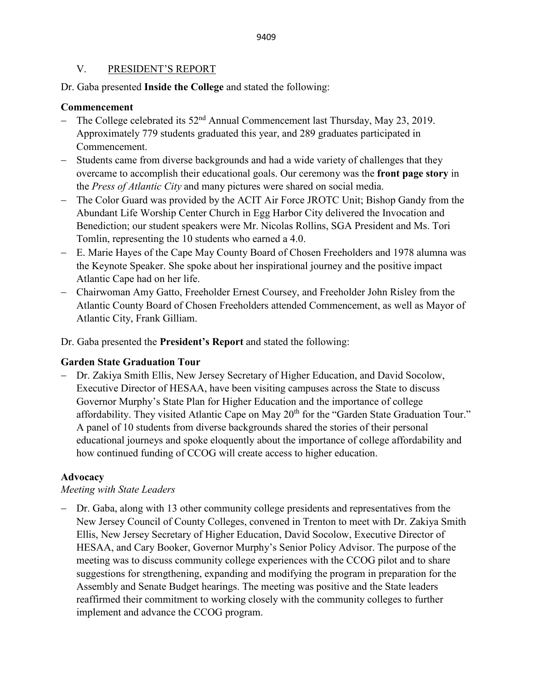### V. PRESIDENT'S REPORT

Dr. Gaba presented **Inside the College** and stated the following:

## **Commencement**

- The College celebrated its 52<sup>nd</sup> Annual Commencement last Thursday, May 23, 2019. Approximately 779 students graduated this year, and 289 graduates participated in Commencement.
- Students came from diverse backgrounds and had a wide variety of challenges that they overcame to accomplish their educational goals. Our ceremony was the **front page story** in the *Press of Atlantic City* and many pictures were shared on social media.
- − The Color Guard was provided by the ACIT Air Force JROTC Unit; Bishop Gandy from the Abundant Life Worship Center Church in Egg Harbor City delivered the Invocation and Benediction; our student speakers were Mr. Nicolas Rollins, SGA President and Ms. Tori Tomlin, representing the 10 students who earned a 4.0.
- − E. Marie Hayes of the Cape May County Board of Chosen Freeholders and 1978 alumna was the Keynote Speaker. She spoke about her inspirational journey and the positive impact Atlantic Cape had on her life.
- − Chairwoman Amy Gatto, Freeholder Ernest Coursey, and Freeholder John Risley from the Atlantic County Board of Chosen Freeholders attended Commencement, as well as Mayor of Atlantic City, Frank Gilliam.

Dr. Gaba presented the **President's Report** and stated the following:

## **Garden State Graduation Tour**

− Dr. Zakiya Smith Ellis, New Jersey Secretary of Higher Education, and David Socolow, Executive Director of HESAA, have been visiting campuses across the State to discuss Governor Murphy's State Plan for Higher Education and the importance of college affordability. They visited Atlantic Cape on May 20<sup>th</sup> for the "Garden State Graduation Tour." A panel of 10 students from diverse backgrounds shared the stories of their personal educational journeys and spoke eloquently about the importance of college affordability and how continued funding of CCOG will create access to higher education.

## **Advocacy**

## *Meeting with State Leaders*

− Dr. Gaba, along with 13 other community college presidents and representatives from the New Jersey Council of County Colleges, convened in Trenton to meet with Dr. Zakiya Smith Ellis, New Jersey Secretary of Higher Education, David Socolow, Executive Director of HESAA, and Cary Booker, Governor Murphy's Senior Policy Advisor. The purpose of the meeting was to discuss community college experiences with the CCOG pilot and to share suggestions for strengthening, expanding and modifying the program in preparation for the Assembly and Senate Budget hearings. The meeting was positive and the State leaders reaffirmed their commitment to working closely with the community colleges to further implement and advance the CCOG program.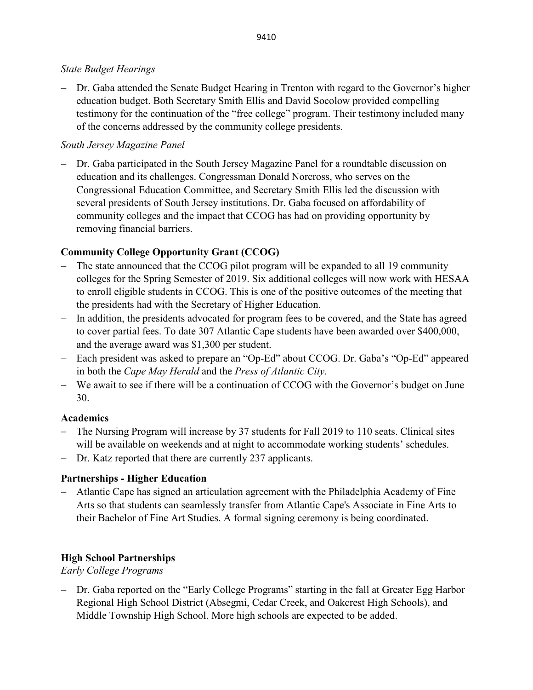### *State Budget Hearings*

− Dr. Gaba attended the Senate Budget Hearing in Trenton with regard to the Governor's higher education budget. Both Secretary Smith Ellis and David Socolow provided compelling testimony for the continuation of the "free college" program. Their testimony included many of the concerns addressed by the community college presidents.

## *South Jersey Magazine Panel*

− Dr. Gaba participated in the South Jersey Magazine Panel for a roundtable discussion on education and its challenges. Congressman Donald Norcross, who serves on the Congressional Education Committee, and Secretary Smith Ellis led the discussion with several presidents of South Jersey institutions. Dr. Gaba focused on affordability of community colleges and the impact that CCOG has had on providing opportunity by removing financial barriers.

## **Community College Opportunity Grant (CCOG)**

- − The state announced that the CCOG pilot program will be expanded to all 19 community colleges for the Spring Semester of 2019. Six additional colleges will now work with HESAA to enroll eligible students in CCOG. This is one of the positive outcomes of the meeting that the presidents had with the Secretary of Higher Education.
- − In addition, the presidents advocated for program fees to be covered, and the State has agreed to cover partial fees. To date 307 Atlantic Cape students have been awarded over \$400,000, and the average award was \$1,300 per student.
- − Each president was asked to prepare an "Op-Ed" about CCOG. Dr. Gaba's "Op-Ed" appeared in both the *Cape May Herald* and the *Press of Atlantic City*.
- − We await to see if there will be a continuation of CCOG with the Governor's budget on June 30.

## **Academics**

- The Nursing Program will increase by 37 students for Fall 2019 to 110 seats. Clinical sites will be available on weekends and at night to accommodate working students' schedules.
- − Dr. Katz reported that there are currently 237 applicants.

## **Partnerships - Higher Education**

− Atlantic Cape has signed an articulation agreement with the Philadelphia Academy of Fine Arts so that students can seamlessly transfer from Atlantic Cape's Associate in Fine Arts to their Bachelor of Fine Art Studies. A formal signing ceremony is being coordinated.

## **High School Partnerships**

## *Early College Programs*

− Dr. Gaba reported on the "Early College Programs" starting in the fall at Greater Egg Harbor Regional High School District (Absegmi, Cedar Creek, and Oakcrest High Schools), and Middle Township High School. More high schools are expected to be added.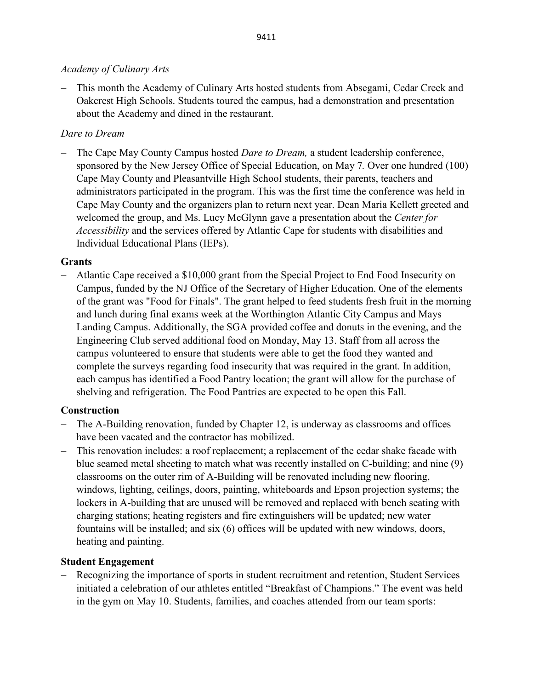### *Academy of Culinary Arts*

− This month the Academy of Culinary Arts hosted students from Absegami, Cedar Creek and Oakcrest High Schools. Students toured the campus, had a demonstration and presentation about the Academy and dined in the restaurant.

## *Dare to Dream*

The Cape May County Campus hosted *Dare to Dream*, a student leadership conference, sponsored by the New Jersey Office of Special Education, on May 7*.* Over one hundred (100) Cape May County and Pleasantville High School students, their parents, teachers and administrators participated in the program. This was the first time the conference was held in Cape May County and the organizers plan to return next year. Dean Maria Kellett greeted and welcomed the group, and Ms. Lucy McGlynn gave a presentation about the *Center for Accessibility* and the services offered by Atlantic Cape for students with disabilities and Individual Educational Plans (IEPs).

## **Grants**

− Atlantic Cape received a \$10,000 grant from the Special Project to End Food Insecurity on Campus, funded by the NJ Office of the Secretary of Higher Education. One of the elements of the grant was "Food for Finals". The grant helped to feed students fresh fruit in the morning and lunch during final exams week at the Worthington Atlantic City Campus and Mays Landing Campus. Additionally, the SGA provided coffee and donuts in the evening, and the Engineering Club served additional food on Monday, May 13. Staff from all across the campus volunteered to ensure that students were able to get the food they wanted and complete the surveys regarding food insecurity that was required in the grant. In addition, each campus has identified a Food Pantry location; the grant will allow for the purchase of shelving and refrigeration. The Food Pantries are expected to be open this Fall.

## **Construction**

- − The A-Building renovation, funded by Chapter 12, is underway as classrooms and offices have been vacated and the contractor has mobilized.
- This renovation includes: a roof replacement; a replacement of the cedar shake facade with blue seamed metal sheeting to match what was recently installed on C-building; and nine (9) classrooms on the outer rim of A-Building will be renovated including new flooring, windows, lighting, ceilings, doors, painting, whiteboards and Epson projection systems; the lockers in A-building that are unused will be removed and replaced with bench seating with charging stations; heating registers and fire extinguishers will be updated; new water fountains will be installed; and six (6) offices will be updated with new windows, doors, heating and painting.

## **Student Engagement**

− Recognizing the importance of sports in student recruitment and retention, Student Services initiated a celebration of our athletes entitled "Breakfast of Champions." The event was held in the gym on May 10. Students, families, and coaches attended from our team sports: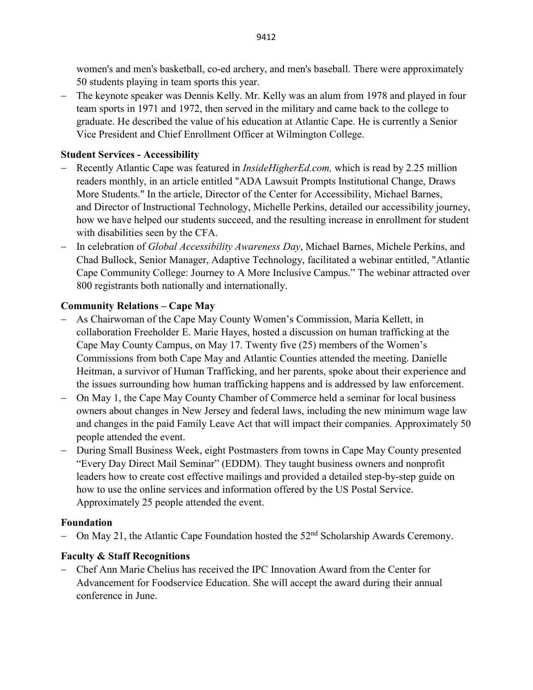women's and men's basketball, co-ed archery, and men's baseball. There were approximately 50 students playing in team sports this year.

− The keynote speaker was Dennis Kelly. Mr. Kelly was an alum from 1978 and played in four team sports in 1971 and 1972, then served in the military and came back to the college to graduate. He described the value of his education at Atlantic Cape. He is currently a Senior Vice President and Chief Enrollment Officer at Wilmington College.

## **Student Services - Accessibility**

- − Recently Atlantic Cape was featured in *InsideHigherEd.com,* which is read by 2.25 million readers monthly, in an article entitled ["ADA Lawsuit Prompts Institutional Change, Draws](https://www.insidehighered.com/news/2019/05/22/accessibility-turnaround-atlantic-cape-community-college)  [More Students."](https://www.insidehighered.com/news/2019/05/22/accessibility-turnaround-atlantic-cape-community-college) In the article, Director of the Center for Accessibility, Michael Barnes, and Director of Instructional Technology, Michelle Perkins, detailed our accessibility journey, how we have helped our students succeed, and the resulting increase in enrollment for student with disabilities seen by the CFA.
- − In celebration of *Global Accessibility Awareness Day*, Michael Barnes, Michele Perkins, and Chad Bullock, Senior Manager, Adaptive Technology, facilitated a webinar entitled, "Atlantic Cape Community College: Journey to A More Inclusive Campus." The webinar attracted over 800 registrants both nationally and internationally.

## **Community Relations – Cape May**

- − As Chairwoman of the Cape May County Women's Commission, Maria Kellett, in collaboration Freeholder E. Marie Hayes, hosted a discussion on human trafficking at the Cape May County Campus, on May 17. Twenty five (25) members of the Women's Commissions from both Cape May and Atlantic Counties attended the meeting. Danielle Heitman, a survivor of Human Trafficking, and her parents, spoke about their experience and the issues surrounding how human trafficking happens and is addressed by law enforcement.
- − On May 1, the Cape May County Chamber of Commerce held a seminar for local business owners about changes in New Jersey and federal laws, including the new minimum wage law and changes in the paid Family Leave Act that will impact their companies. Approximately 50 people attended the event.
- During Small Business Week, eight Postmasters from towns in Cape May County presented "Every Day Direct Mail Seminar" (EDDM). They taught business owners and nonprofit leaders how to create cost effective mailings and provided a detailed step-by-step guide on how to use the online services and information offered by the US Postal Service. Approximately 25 people attended the event.

## **Foundation**

On May 21, the Atlantic Cape Foundation hosted the 52<sup>nd</sup> Scholarship Awards Ceremony.

## **Faculty & Staff Recognitions**

− Chef Ann Marie Chelius has received the IPC Innovation Award from the Center for Advancement for Foodservice Education. She will accept the award during their annual conference in June.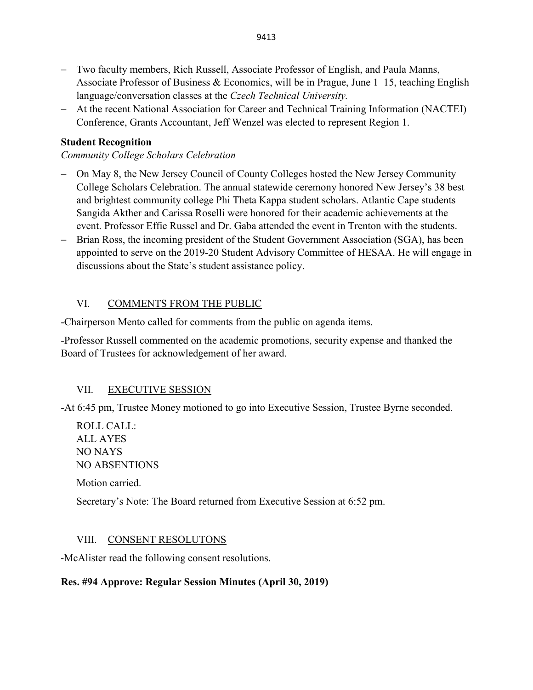- − Two faculty members, Rich Russell, Associate Professor of English, and Paula Manns, Associate Professor of Business & Economics, will be in Prague, June 1–15, teaching English language/conversation classes at the *Czech Technical University.*
- − At the recent National Association for Career and Technical Training Information (NACTEI) Conference, Grants Accountant, Jeff Wenzel was elected to represent Region 1.

## **Student Recognition**

### *Community College Scholars Celebration*

- − On May 8, the New Jersey Council of County Colleges hosted the New Jersey Community College Scholars Celebration. The annual statewide ceremony honored New Jersey's 38 best and brightest community college Phi Theta Kappa student scholars. Atlantic Cape students Sangida Akther and Carissa Roselli were honored for their academic achievements at the event. Professor Effie Russel and Dr. Gaba attended the event in Trenton with the students.
- − Brian Ross, the incoming president of the Student Government Association (SGA), has been appointed to serve on the 2019-20 Student Advisory Committee of HESAA. He will engage in discussions about the State's student assistance policy.

## VI. COMMENTS FROM THE PUBLIC

-Chairperson Mento called for comments from the public on agenda items.

-Professor Russell commented on the academic promotions, security expense and thanked the Board of Trustees for acknowledgement of her award.

## VII. EXECUTIVE SESSION

-At 6:45 pm, Trustee Money motioned to go into Executive Session, Trustee Byrne seconded.

ROLL CALL: ALL AYES NO NAYS NO ABSENTIONS Motion carried. Secretary's Note: The Board returned from Executive Session at 6:52 pm.

### VIII. CONSENT RESOLUTONS

-McAlister read the following consent resolutions.

### **Res. #94 Approve: Regular Session Minutes (April 30, 2019)**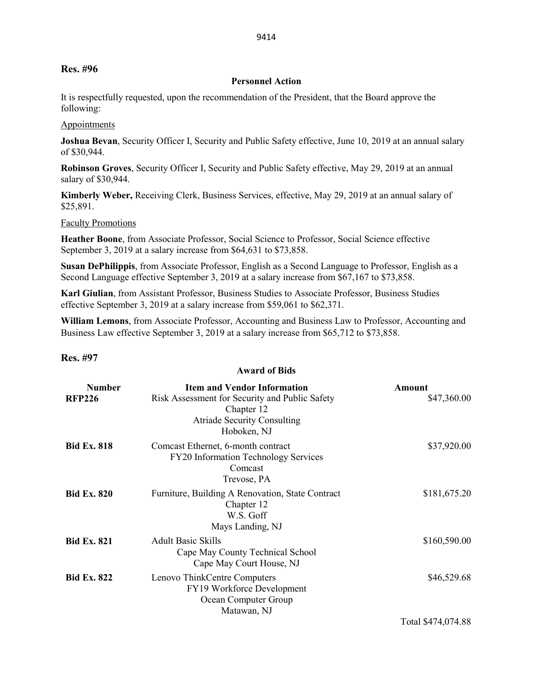#### **Res. #96**

#### **Personnel Action**

It is respectfully requested, upon the recommendation of the President, that the Board approve the following:

#### **Appointments**

**Joshua Bevan**, Security Officer I, Security and Public Safety effective, June 10, 2019 at an annual salary of \$30,944.

**Robinson Groves**, Security Officer I, Security and Public Safety effective, May 29, 2019 at an annual salary of \$30,944.

**Kimberly Weber,** Receiving Clerk, Business Services, effective, May 29, 2019 at an annual salary of \$25,891.

#### Faculty Promotions

**Heather Boone**, from Associate Professor, Social Science to Professor, Social Science effective September 3, 2019 at a salary increase from \$64,631 to \$73,858.

**Susan DePhilippis**, from Associate Professor, English as a Second Language to Professor, English as a Second Language effective September 3, 2019 at a salary increase from \$67,167 to \$73,858.

**Karl Giulian**, from Assistant Professor, Business Studies to Associate Professor, Business Studies effective September 3, 2019 at a salary increase from \$59,061 to \$62,371.

**William Lemons**, from Associate Professor, Accounting and Business Law to Professor, Accounting and Business Law effective September 3, 2019 at a salary increase from \$65,712 to \$73,858.

**Award of Bids**

#### **Res. #97**

| <b>Number</b>      | <b>Item and Vendor Information</b>                                                                                | Amount             |
|--------------------|-------------------------------------------------------------------------------------------------------------------|--------------------|
| <b>RFP226</b>      | Risk Assessment for Security and Public Safety<br>Chapter 12<br><b>Atriade Security Consulting</b><br>Hoboken, NJ | \$47,360.00        |
| <b>Bid Ex. 818</b> | Comcast Ethernet, 6-month contract<br>FY20 Information Technology Services<br>Comcast<br>Trevose, PA              | \$37,920.00        |
| <b>Bid Ex. 820</b> | Furniture, Building A Renovation, State Contract<br>Chapter 12<br>W.S. Goff<br>Mays Landing, NJ                   | \$181,675.20       |
| <b>Bid Ex. 821</b> | <b>Adult Basic Skills</b><br>Cape May County Technical School<br>Cape May Court House, NJ                         | \$160,590.00       |
| <b>Bid Ex. 822</b> | Lenovo ThinkCentre Computers<br>FY19 Workforce Development<br>Ocean Computer Group<br>Matawan, NJ                 | \$46,529.68        |
|                    |                                                                                                                   | Total \$474,074.88 |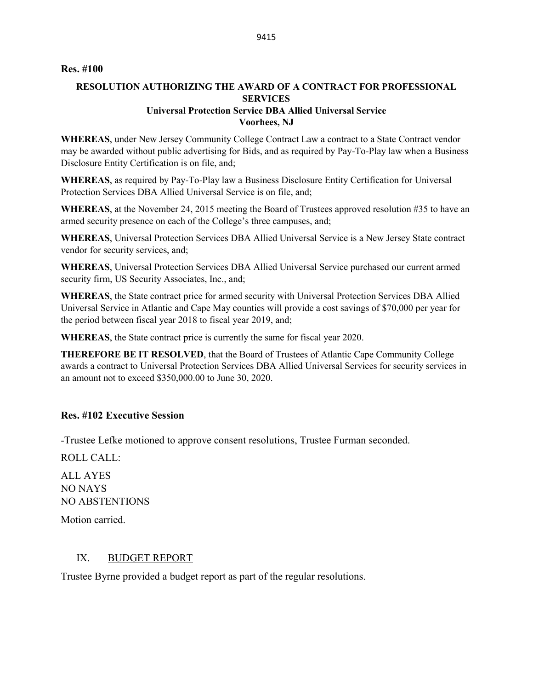### **Res. #100**

### **RESOLUTION AUTHORIZING THE AWARD OF A CONTRACT FOR PROFESSIONAL SERVICES Universal Protection Service DBA Allied Universal Service Voorhees, NJ**

**WHEREAS**, under New Jersey Community College Contract Law a contract to a State Contract vendor may be awarded without public advertising for Bids, and as required by Pay-To-Play law when a Business Disclosure Entity Certification is on file, and;

**WHEREAS**, as required by Pay-To-Play law a Business Disclosure Entity Certification for Universal Protection Services DBA Allied Universal Service is on file, and;

**WHEREAS**, at the November 24, 2015 meeting the Board of Trustees approved resolution #35 to have an armed security presence on each of the College's three campuses, and;

**WHEREAS**, Universal Protection Services DBA Allied Universal Service is a New Jersey State contract vendor for security services, and;

**WHEREAS**, Universal Protection Services DBA Allied Universal Service purchased our current armed security firm, US Security Associates, Inc., and;

**WHEREAS**, the State contract price for armed security with Universal Protection Services DBA Allied Universal Service in Atlantic and Cape May counties will provide a cost savings of \$70,000 per year for the period between fiscal year 2018 to fiscal year 2019, and;

**WHEREAS**, the State contract price is currently the same for fiscal year 2020.

**THEREFORE BE IT RESOLVED**, that the Board of Trustees of Atlantic Cape Community College awards a contract to Universal Protection Services DBA Allied Universal Services for security services in an amount not to exceed \$350,000.00 to June 30, 2020.

#### **Res. #102 Executive Session**

-Trustee Lefke motioned to approve consent resolutions, Trustee Furman seconded.

ROLL CALL:

ALL AYES NO NAYS NO ABSTENTIONS

Motion carried.

#### IX. BUDGET REPORT

Trustee Byrne provided a budget report as part of the regular resolutions.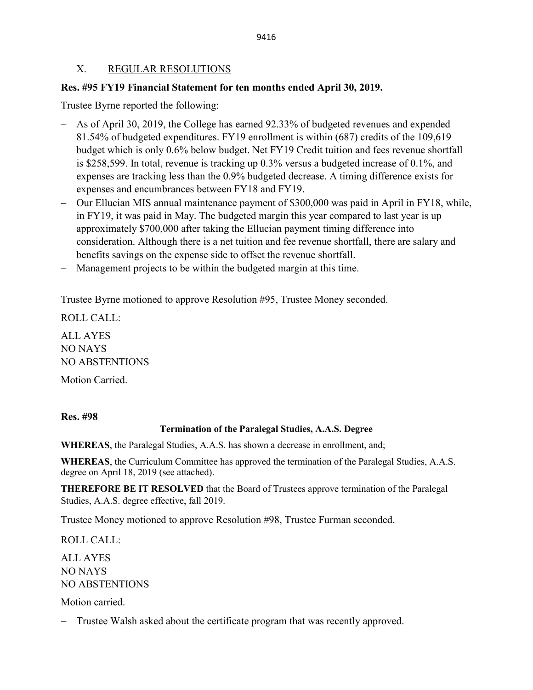#### 9416

### X. REGULAR RESOLUTIONS

### **Res. #95 FY19 Financial Statement for ten months ended April 30, 2019.**

Trustee Byrne reported the following:

- As of April 30, 2019, the College has earned 92.33% of budgeted revenues and expended 81.54% of budgeted expenditures. FY19 enrollment is within (687) credits of the 109,619 budget which is only 0.6% below budget. Net FY19 Credit tuition and fees revenue shortfall is \$258,599. In total, revenue is tracking up 0.3% versus a budgeted increase of 0.1%, and expenses are tracking less than the 0.9% budgeted decrease. A timing difference exists for expenses and encumbrances between FY18 and FY19.
- − Our Ellucian MIS annual maintenance payment of \$300,000 was paid in April in FY18, while, in FY19, it was paid in May. The budgeted margin this year compared to last year is up approximately \$700,000 after taking the Ellucian payment timing difference into consideration. Although there is a net tuition and fee revenue shortfall, there are salary and benefits savings on the expense side to offset the revenue shortfall.
- − Management projects to be within the budgeted margin at this time.

Trustee Byrne motioned to approve Resolution #95, Trustee Money seconded.

ROLL CALL: ALL AYES NO NAYS NO ABSTENTIONS

Motion Carried.

**Res. #98**

#### **Termination of the Paralegal Studies, A.A.S. Degree**

**WHEREAS**, the Paralegal Studies, A.A.S. has shown a decrease in enrollment, and;

**WHEREAS**, the Curriculum Committee has approved the termination of the Paralegal Studies, A.A.S. degree on April 18, 2019 (see attached).

**THEREFORE BE IT RESOLVED** that the Board of Trustees approve termination of the Paralegal Studies, A.A.S. degree effective, fall 2019.

Trustee Money motioned to approve Resolution #98, Trustee Furman seconded.

ROLL CALL:

ALL AYES NO NAYS NO ABSTENTIONS

Motion carried.

− Trustee Walsh asked about the certificate program that was recently approved.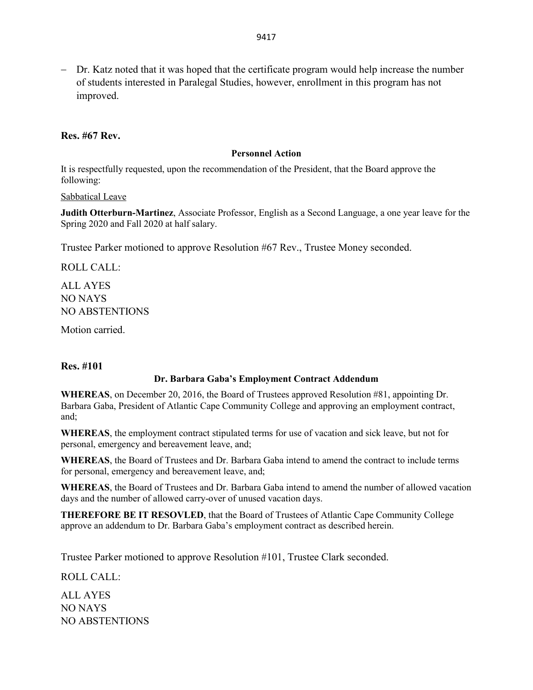− Dr. Katz noted that it was hoped that the certificate program would help increase the number of students interested in Paralegal Studies, however, enrollment in this program has not improved.

### **Res. #67 Rev.**

#### **Personnel Action**

It is respectfully requested, upon the recommendation of the President, that the Board approve the following:

#### Sabbatical Leave

**Judith Otterburn-Martinez**, Associate Professor, English as a Second Language, a one year leave for the Spring 2020 and Fall 2020 at half salary.

Trustee Parker motioned to approve Resolution #67 Rev., Trustee Money seconded.

ROLL CALL:

ALL AYES NO NAYS NO ABSTENTIONS

Motion carried.

### **Res. #101**

### **Dr. Barbara Gaba's Employment Contract Addendum**

**WHEREAS**, on December 20, 2016, the Board of Trustees approved Resolution #81, appointing Dr. Barbara Gaba, President of Atlantic Cape Community College and approving an employment contract, and;

**WHEREAS**, the employment contract stipulated terms for use of vacation and sick leave, but not for personal, emergency and bereavement leave, and;

**WHEREAS**, the Board of Trustees and Dr. Barbara Gaba intend to amend the contract to include terms for personal, emergency and bereavement leave, and;

**WHEREAS**, the Board of Trustees and Dr. Barbara Gaba intend to amend the number of allowed vacation days and the number of allowed carry-over of unused vacation days.

**THEREFORE BE IT RESOVLED**, that the Board of Trustees of Atlantic Cape Community College approve an addendum to Dr. Barbara Gaba's employment contract as described herein.

Trustee Parker motioned to approve Resolution #101, Trustee Clark seconded.

ROLL CALL:

ALL AYES NO NAYS NO ABSTENTIONS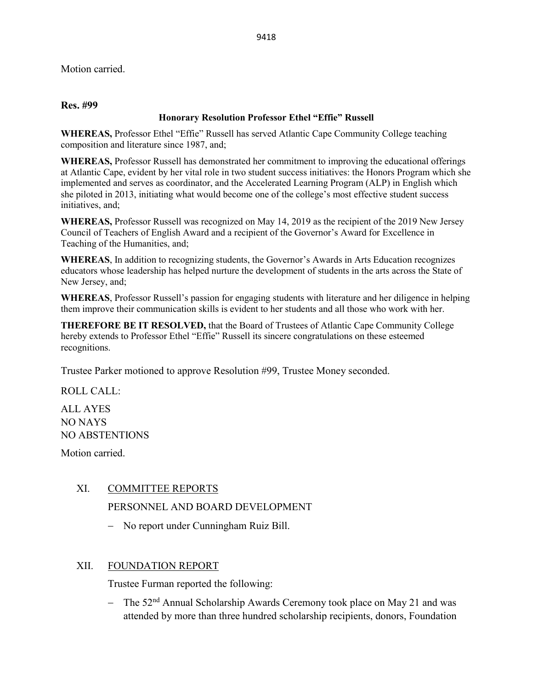Motion carried.

### **Res. #99**

### **Honorary Resolution Professor Ethel "Effie" Russell**

**WHEREAS,** Professor Ethel "Effie" Russell has served Atlantic Cape Community College teaching composition and literature since 1987, and;

**WHEREAS,** Professor Russell has demonstrated her commitment to improving the educational offerings at Atlantic Cape, evident by her vital role in two student success initiatives: the Honors Program which she implemented and serves as coordinator, and the Accelerated Learning Program (ALP) in English which she piloted in 2013, initiating what would become one of the college's most effective student success initiatives, and;

**WHEREAS,** Professor Russell was recognized on May 14, 2019 as the recipient of the 2019 New Jersey Council of Teachers of English Award and a recipient of the Governor's Award for Excellence in Teaching of the Humanities, and;

**WHEREAS**, In addition to recognizing students, the Governor's Awards in Arts Education recognizes educators whose leadership has helped nurture the development of students in the arts across the State of New Jersey, and;

**WHEREAS**, Professor Russell's passion for engaging students with literature and her diligence in helping them improve their communication skills is evident to her students and all those who work with her.

**THEREFORE BE IT RESOLVED,** that the Board of Trustees of Atlantic Cape Community College hereby extends to Professor Ethel "Effie" Russell its sincere congratulations on these esteemed recognitions.

Trustee Parker motioned to approve Resolution #99, Trustee Money seconded.

ROLL CALL:

ALL AYES NO NAYS NO ABSTENTIONS

Motion carried.

### XI. COMMITTEE REPORTS

PERSONNEL AND BOARD DEVELOPMENT

− No report under Cunningham Ruiz Bill.

### XII. FOUNDATION REPORT

Trustee Furman reported the following:

− The 52nd Annual Scholarship Awards Ceremony took place on May 21 and was attended by more than three hundred scholarship recipients, donors, Foundation